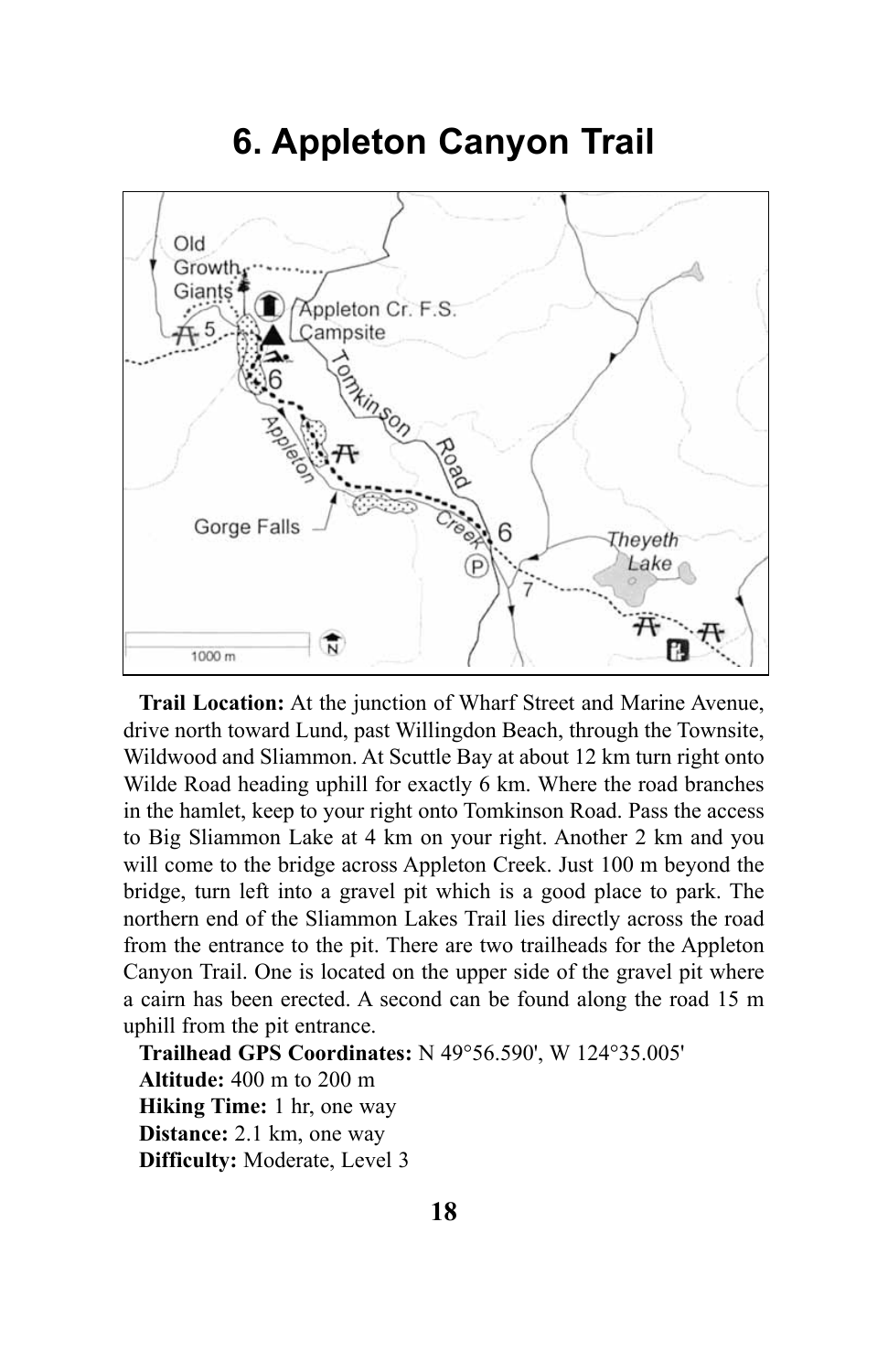## **6. Appleton Canyon Trail**



**Trail Location:** At the junction of Wharf Street and Marine Avenue, drive north toward Lund, past Willingdon Beach, through the Townsite, Wildwood and Sliammon. At Scuttle Bay at about 12 km turn right onto Wilde Road heading uphill for exactly 6 km. Where the road branches in the hamlet, keep to your right onto Tomkinson Road. Pass the access to Big Sliammon Lake at 4 km on your right. Another 2 km and you will come to the bridge across Appleton Creek. Just 100 m beyond the bridge, turn left into a gravel pit which is a good place to park. The northern end of the Sliammon Lakes Trail lies directly across the road from the entrance to the pit. There are two trailheads for the Appleton Canyon Trail. One is located on the upper side of the gravel pit where a cairn has been erected. A second can be found along the road 15 m uphill from the pit entrance.

**Trailhead GPS Coordinates:** N 49°56.590', W 124°35.005' **Altitude:** 400 m to 200 m **Hiking Time:** 1 hr, one way **Distance:** 2.1 km, one way **Difficulty:** Moderate, Level 3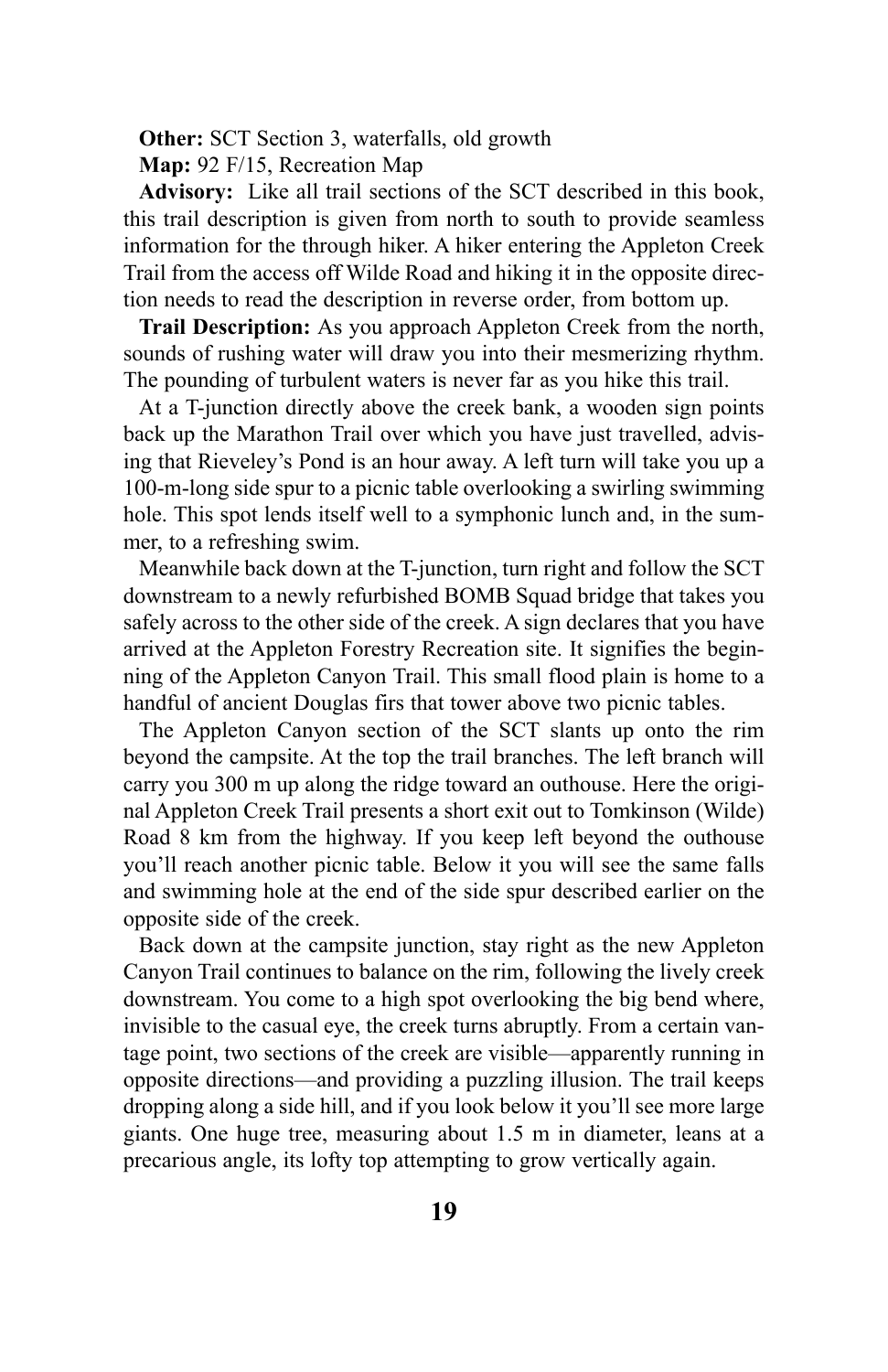**Other:** SCT Section 3, waterfalls, old growth

**Map:** 92 F/15, Recreation Map

**Advisory:** Like all trail sections of the SCT described in this book, this trail description is given from north to south to provide seamless information for the through hiker. A hiker entering the Appleton Creek Trail from the access off Wilde Road and hiking it in the opposite direction needs to read the description in reverse order, from bottom up.

**Trail Description:** As you approach Appleton Creek from the north, sounds of rushing water will draw you into their mesmerizing rhythm. The pounding of turbulent waters is never far as you hike this trail.

At a T-junction directly above the creek bank, a wooden sign points back up the Marathon Trail over which you have just travelled, advising that Rieveley's Pond is an hour away. A left turn will take you up a 100-m-long side spur to a picnic table overlooking a swirling swimming hole. This spot lends itself well to a symphonic lunch and, in the summer, to a refreshing swim.

Meanwhile back down at the T-junction, turn right and follow the SCT downstream to a newly refurbished BOMB Squad bridge that takes you safely across to the other side of the creek. A sign declares that you have arrived at the Appleton Forestry Recreation site. It signifies the beginning of the Appleton Canyon Trail. This small flood plain is home to a handful of ancient Douglas firs that tower above two picnic tables.

The Appleton Canyon section of the SCT slants up onto the rim beyond the campsite. At the top the trail branches. The left branch will carry you 300 m up along the ridge toward an outhouse. Here the original Appleton Creek Trail presents a short exit out to Tomkinson (Wilde) Road 8 km from the highway. If you keep left beyond the outhouse you'll reach another picnic table. Below it you will see the same falls and swimming hole at the end of the side spur described earlier on the opposite side of the creek.

Back down at the campsite junction, stay right as the new Appleton Canyon Trail continues to balance on the rim, following the lively creek downstream. You come to a high spot overlooking the big bend where, invisible to the casual eye, the creek turns abruptly. From a certain vantage point, two sections of the creek are visible—apparently running in opposite directions—and providing a puzzling illusion. The trail keeps dropping along a side hill, and if you look below it you'll see more large giants. One huge tree, measuring about 1.5 m in diameter, leans at a precarious angle, its lofty top attempting to grow vertically again.